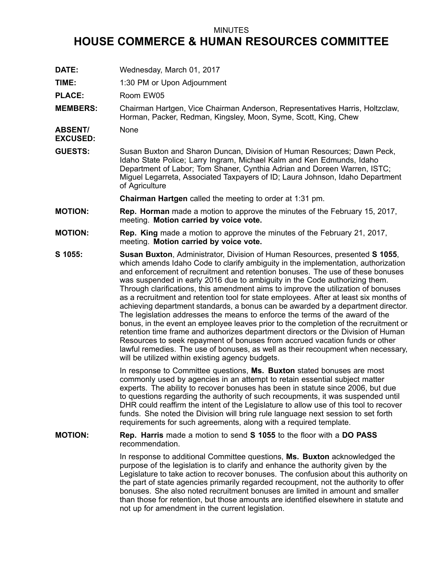## MINUTES

## **HOUSE COMMERCE & HUMAN RESOURCES COMMITTEE**

- **DATE:** Wednesday, March 01, 2017
- **TIME:** 1:30 PM or Upon Adjournment

PLACE: Room EW05

**MEMBERS:** Chairman Hartgen, Vice Chairman Anderson, Representatives Harris, Holtzclaw, Horman, Packer, Redman, Kingsley, Moon, Syme, Scott, King, Chew

**ABSENT/** None

**EXCUSED:**

**GUESTS:** Susan Buxton and Sharon Duncan, Division of Human Resources; Dawn Peck, Idaho State Police; Larry Ingram, Michael Kalm and Ken Edmunds, Idaho Department of Labor; Tom Shaner, Cynthia Adrian and Doreen Warren, ISTC; Miguel Legarreta, Associated Taxpayers of ID; Laura Johnson, Idaho Department of Agriculture

**Chairman Hartgen** called the meeting to order at 1:31 pm.

- **MOTION: Rep. Horman** made <sup>a</sup> motion to approve the minutes of the February 15, 2017, meeting. **Motion carried by voice vote.**
- **MOTION: Rep. King** made <sup>a</sup> motion to approve the minutes of the February 21, 2017, meeting. **Motion carried by voice vote.**
- **S 1055: Susan Buxton**, Administrator, Division of Human Resources, presented **S 1055**, which amends Idaho Code to clarify ambiguity in the implementation, authorization and enforcement of recruitment and retention bonuses. The use of these bonuses was suspended in early 2016 due to ambiguity in the Code authorizing them. Through clarifications, this amendment aims to improve the utilization of bonuses as <sup>a</sup> recruitment and retention tool for state employees. After at least six months of achieving department standards, <sup>a</sup> bonus can be awarded by <sup>a</sup> department director. The legislation addresses the means to enforce the terms of the award of the bonus, in the event an employee leaves prior to the completion of the recruitment or retention time frame and authorizes department directors or the Division of Human Resources to seek repayment of bonuses from accrued vacation funds or other lawful remedies. The use of bonuses, as well as their recoupment when necessary, will be utilized within existing agency budgets.

In response to Committee questions, **Ms. Buxton** stated bonuses are most commonly used by agencies in an attempt to retain essential subject matter experts. The ability to recover bonuses has been in statute since 2006, but due to questions regarding the authority of such recoupments, it was suspended until DHR could reaffirm the intent of the Legislature to allow use of this tool to recover funds. She noted the Division will bring rule language next session to set forth requirements for such agreements, along with <sup>a</sup> required template.

**MOTION: Rep. Harris** made <sup>a</sup> motion to send **S 1055** to the floor with <sup>a</sup> **DO PASS** recommendation.

> In response to additional Committee questions, **Ms. Buxton** acknowledged the purpose of the legislation is to clarify and enhance the authority given by the Legislature to take action to recover bonuses. The confusion about this authority on the part of state agencies primarily regarded recoupment, not the authority to offer bonuses. She also noted recruitment bonuses are limited in amount and smaller than those for retention, but those amounts are identified elsewhere in statute and not up for amendment in the current legislation.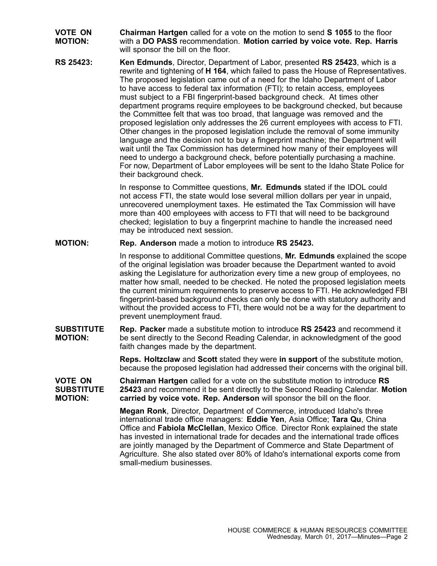- **VOTE ON MOTION: Chairman Hartgen** called for <sup>a</sup> vote on the motion to send **S 1055** to the floor with <sup>a</sup> **DO PASS** recommendation. **Motion carried by voice vote. Rep. Harris** will sponsor the bill on the floor.
- **RS 25423: Ken Edmunds**, Director, Department of Labor, presented **RS 25423**, which is <sup>a</sup> rewrite and tightening of **H 164**, which failed to pass the House of Representatives. The proposed legislation came out of <sup>a</sup> need for the Idaho Department of Labor to have access to federal tax information (FTI); to retain access, employees must subject to <sup>a</sup> FBI fingerprint-based background check. At times other department programs require employees to be background checked, but because the Committee felt that was too broad, that language was removed and the proposed legislation only addresses the 26 current employees with access to FTI. Other changes in the proposed legislation include the removal of some immunity language and the decision not to buy <sup>a</sup> fingerprint machine; the Department will wait until the Tax Commission has determined how many of their employees will need to undergo <sup>a</sup> background check, before potentially purchasing <sup>a</sup> machine. For now, Department of Labor employees will be sent to the Idaho State Police for their background check.

In response to Committee questions, **Mr. Edmunds** stated if the IDOL could not access FTI, the state would lose several million dollars per year in unpaid, unrecovered unemployment taxes. He estimated the Tax Commission will have more than 400 employees with access to FTI that will need to be background checked; legislation to buy <sup>a</sup> fingerprint machine to handle the increased need may be introduced next session.

## **MOTION: Rep. Anderson** made <sup>a</sup> motion to introduce **RS 25423.**

In response to additional Committee questions, **Mr. Edmunds** explained the scope of the original legislation was broader because the Department wanted to avoid asking the Legislature for authorization every time <sup>a</sup> new group of employees, no matter how small, needed to be checked. He noted the proposed legislation meets the current minimum requirements to preserve access to FTI. He acknowledged FBI fingerprint-based background checks can only be done with statutory authority and without the provided access to FTI, there would not be <sup>a</sup> way for the department to prevent unemployment fraud.

**SUBSTITUTE MOTION: Rep. Packer** made <sup>a</sup> substitute motion to introduce **RS 25423** and recommend it be sent directly to the Second Reading Calendar, in acknowledgment of the good faith changes made by the department.

> **Reps. Holtzclaw** and **Scott** stated they were **in support** of the substitute motion, because the proposed legislation had addressed their concerns with the original bill.

**VOTE ON SUBSTITUTE MOTION: Chairman Hartgen** called for <sup>a</sup> vote on the substitute motion to introduce **RS 25423** and recommend it be sent directly to the Second Reading Calendar. **Motion carried by voice vote. Rep. Anderson** will sponsor the bill on the floor.

> **Megan Ronk**, Director, Department of Commerce, introduced Idaho's three international trade office managers: **Eddie Yen**, Asia Office; **Tara Qu**, China Office and **Fabiola McClellan**, Mexico Office. Director Ronk explained the state has invested in international trade for decades and the international trade offices are jointly managed by the Department of Commerce and State Department of Agriculture. She also stated over 80% of Idaho's international exports come from small-medium businesses.